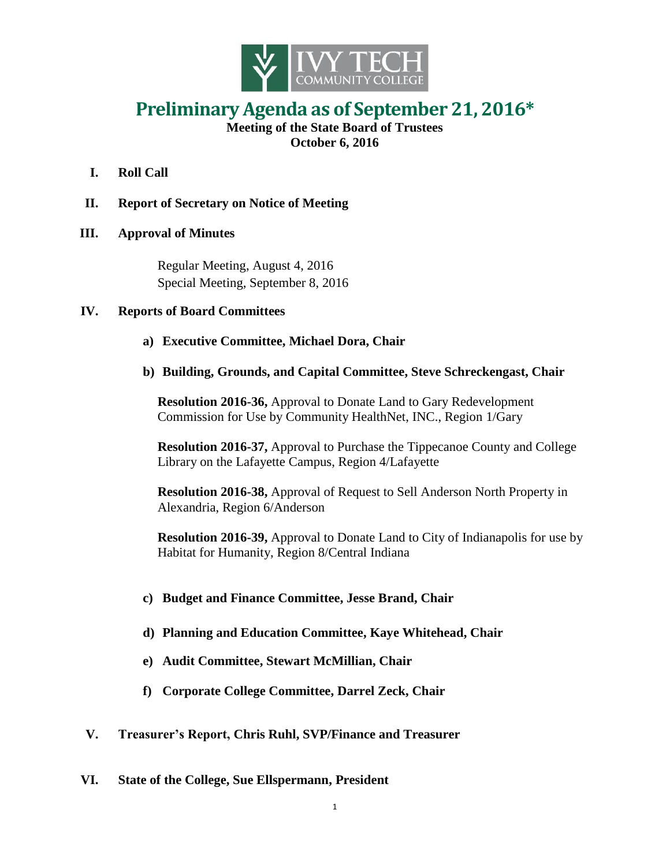

## **Preliminary Agenda as of September 21, 2016\***

**Meeting of the State Board of Trustees October 6, 2016**

- **I. Roll Call**
- **II. Report of Secretary on Notice of Meeting**
- **III. Approval of Minutes**

Regular Meeting, August 4, 2016 Special Meeting, September 8, 2016

## **IV. Reports of Board Committees**

- **a) Executive Committee, Michael Dora, Chair**
- **b) Building, Grounds, and Capital Committee, Steve Schreckengast, Chair**

**Resolution 2016-36,** Approval to Donate Land to Gary Redevelopment Commission for Use by Community HealthNet, INC., Region 1/Gary

**Resolution 2016-37,** Approval to Purchase the Tippecanoe County and College Library on the Lafayette Campus, Region 4/Lafayette

**Resolution 2016-38,** Approval of Request to Sell Anderson North Property in Alexandria, Region 6/Anderson

**Resolution 2016-39,** Approval to Donate Land to City of Indianapolis for use by Habitat for Humanity, Region 8/Central Indiana

- **c) Budget and Finance Committee, Jesse Brand, Chair**
- **d) Planning and Education Committee, Kaye Whitehead, Chair**
- **e) Audit Committee, Stewart McMillian, Chair**
- **f) Corporate College Committee, Darrel Zeck, Chair**
- **V. Treasurer's Report, Chris Ruhl, SVP/Finance and Treasurer**
- **VI. State of the College, Sue Ellspermann, President**